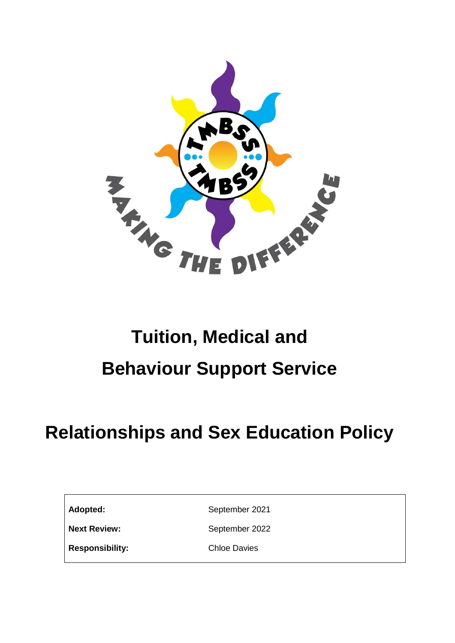

# **Tuition, Medical and Behaviour Support Service**

# **Relationships and Sex Education Policy**

Adopted: September 2021

**Next Review:** September 2022

**Responsibility:** Chloe Davies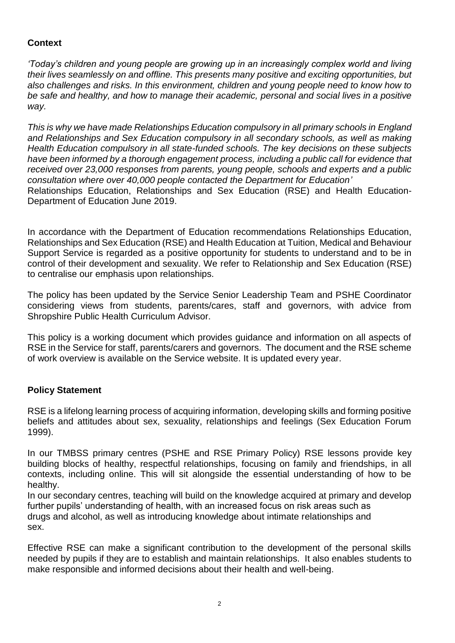# **Context**

*'Today's children and young people are growing up in an increasingly complex world and living their lives seamlessly on and offline. This presents many positive and exciting opportunities, but also challenges and risks. In this environment, children and young people need to know how to be safe and healthy, and how to manage their academic, personal and social lives in a positive way.*

*This is why we have made Relationships Education compulsory in all primary schools in England and Relationships and Sex Education compulsory in all secondary schools, as well as making Health Education compulsory in all state-funded schools. The key decisions on these subjects have been informed by a thorough engagement process, including a public call for evidence that received over 23,000 responses from parents, young people, schools and experts and a public consultation where over 40,000 people contacted the Department for Education'* Relationships Education, Relationships and Sex Education (RSE) and Health Education-Department of Education June 2019.

In accordance with the Department of Education recommendations Relationships Education, Relationships and Sex Education (RSE) and Health Education at Tuition, Medical and Behaviour Support Service is regarded as a positive opportunity for students to understand and to be in control of their development and sexuality. We refer to Relationship and Sex Education (RSE) to centralise our emphasis upon relationships.

The policy has been updated by the Service Senior Leadership Team and PSHE Coordinator considering views from students, parents/cares, staff and governors, with advice from Shropshire Public Health Curriculum Advisor.

This policy is a working document which provides guidance and information on all aspects of RSE in the Service for staff, parents/carers and governors. The document and the RSE scheme of work overview is available on the Service website. It is updated every year.

# **Policy Statement**

RSE is a lifelong learning process of acquiring information, developing skills and forming positive beliefs and attitudes about sex, sexuality, relationships and feelings (Sex Education Forum 1999).

In our TMBSS primary centres (PSHE and RSE Primary Policy) RSE lessons provide key building blocks of healthy, respectful relationships, focusing on family and friendships, in all contexts, including online. This will sit alongside the essential understanding of how to be healthy.

In our secondary centres, teaching will build on the knowledge acquired at primary and develop further pupils' understanding of health, with an increased focus on risk areas such as drugs and alcohol, as well as introducing knowledge about intimate relationships and sex.

Effective RSE can make a significant contribution to the development of the personal skills needed by pupils if they are to establish and maintain relationships. It also enables students to make responsible and informed decisions about their health and well-being.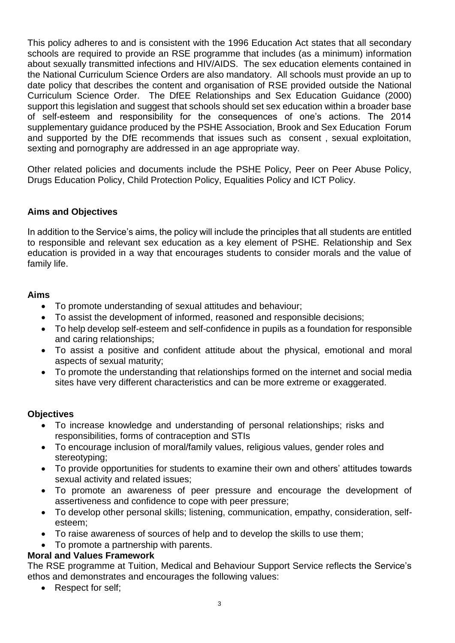This policy adheres to and is consistent with the 1996 Education Act states that all secondary schools are required to provide an RSE programme that includes (as a minimum) information about sexually transmitted infections and HIV/AIDS. The sex education elements contained in the National Curriculum Science Orders are also mandatory. All schools must provide an up to date policy that describes the content and organisation of RSE provided outside the National Curriculum Science Order. The DfEE Relationships and Sex Education Guidance (2000) support this legislation and suggest that schools should set sex education within a broader base of self-esteem and responsibility for the consequences of one's actions. The 2014 supplementary guidance produced by the PSHE Association, Brook and Sex Education Forum and supported by the DfE recommends that issues such as consent , sexual exploitation, sexting and pornography are addressed in an age appropriate way.

Other related policies and documents include the PSHE Policy, Peer on Peer Abuse Policy, Drugs Education Policy, Child Protection Policy, Equalities Policy and ICT Policy.

# **Aims and Objectives**

In addition to the Service's aims, the policy will include the principles that all students are entitled to responsible and relevant sex education as a key element of PSHE. Relationship and Sex education is provided in a way that encourages students to consider morals and the value of family life.

#### **Aims**

- To promote understanding of sexual attitudes and behaviour;
- To assist the development of informed, reasoned and responsible decisions;
- To help develop self-esteem and self-confidence in pupils as a foundation for responsible and caring relationships;
- To assist a positive and confident attitude about the physical, emotional and moral aspects of sexual maturity;
- To promote the understanding that relationships formed on the internet and social media sites have very different characteristics and can be more extreme or exaggerated.

#### **Objectives**

- To increase knowledge and understanding of personal relationships; risks and responsibilities, forms of contraception and STIs
- To encourage inclusion of moral/family values, religious values, gender roles and stereotyping;
- To provide opportunities for students to examine their own and others' attitudes towards sexual activity and related issues;
- To promote an awareness of peer pressure and encourage the development of assertiveness and confidence to cope with peer pressure;
- To develop other personal skills; listening, communication, empathy, consideration, selfesteem;
- To raise awareness of sources of help and to develop the skills to use them;
- To promote a partnership with parents.

#### **Moral and Values Framework**

The RSE programme at Tuition, Medical and Behaviour Support Service reflects the Service's ethos and demonstrates and encourages the following values:

• Respect for self;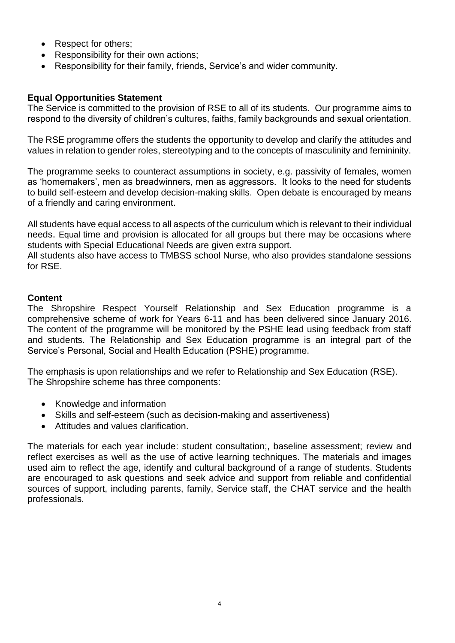- Respect for others:
- Responsibility for their own actions:
- Responsibility for their family, friends, Service's and wider community.

### **Equal Opportunities Statement**

The Service is committed to the provision of RSE to all of its students. Our programme aims to respond to the diversity of children's cultures, faiths, family backgrounds and sexual orientation.

The RSE programme offers the students the opportunity to develop and clarify the attitudes and values in relation to gender roles, stereotyping and to the concepts of masculinity and femininity.

The programme seeks to counteract assumptions in society, e.g. passivity of females, women as 'homemakers', men as breadwinners, men as aggressors. It looks to the need for students to build self-esteem and develop decision-making skills. Open debate is encouraged by means of a friendly and caring environment.

All students have equal access to all aspects of the curriculum which is relevant to their individual needs. Equal time and provision is allocated for all groups but there may be occasions where students with Special Educational Needs are given extra support.

All students also have access to TMBSS school Nurse, who also provides standalone sessions for RSE.

#### **Content**

The Shropshire Respect Yourself Relationship and Sex Education programme is a comprehensive scheme of work for Years 6-11 and has been delivered since January 2016. The content of the programme will be monitored by the PSHE lead using feedback from staff and students. The Relationship and Sex Education programme is an integral part of the Service's Personal, Social and Health Education (PSHE) programme.

The emphasis is upon relationships and we refer to Relationship and Sex Education (RSE). The Shropshire scheme has three components:

- Knowledge and information
- Skills and self-esteem (such as decision-making and assertiveness)
- Attitudes and values clarification.

The materials for each year include: student consultation;, baseline assessment; review and reflect exercises as well as the use of active learning techniques. The materials and images used aim to reflect the age, identify and cultural background of a range of students. Students are encouraged to ask questions and seek advice and support from reliable and confidential sources of support, including parents, family, Service staff, the CHAT service and the health professionals.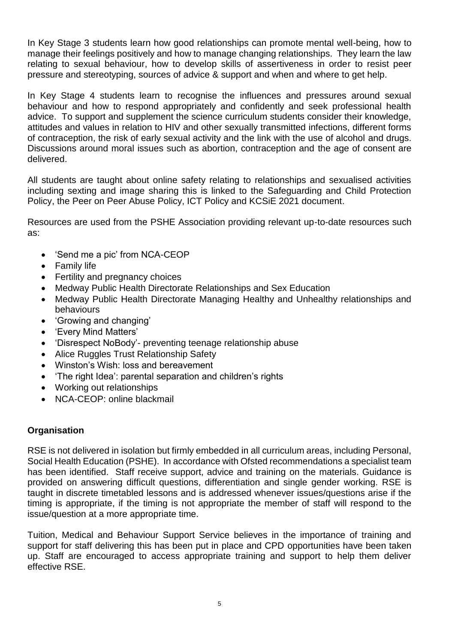In Key Stage 3 students learn how good relationships can promote mental well-being, how to manage their feelings positively and how to manage changing relationships. They learn the law relating to sexual behaviour, how to develop skills of assertiveness in order to resist peer pressure and stereotyping, sources of advice & support and when and where to get help.

In Key Stage 4 students learn to recognise the influences and pressures around sexual behaviour and how to respond appropriately and confidently and seek professional health advice. To support and supplement the science curriculum students consider their knowledge, attitudes and values in relation to HIV and other sexually transmitted infections, different forms of contraception, the risk of early sexual activity and the link with the use of alcohol and drugs. Discussions around moral issues such as abortion, contraception and the age of consent are delivered.

All students are taught about online safety relating to relationships and sexualised activities including sexting and image sharing this is linked to the Safeguarding and Child Protection Policy, the Peer on Peer Abuse Policy, ICT Policy and KCSiE 2021 document.

Resources are used from the PSHE Association providing relevant up-to-date resources such as:

- 'Send me a pic' from NCA-CEOP
- Family life
- Fertility and pregnancy choices
- Medway Public Health Directorate Relationships and Sex Education
- Medway Public Health Directorate Managing Healthy and Unhealthy relationships and behaviours
- 'Growing and changing'
- 'Every Mind Matters'
- 'Disrespect NoBody'- preventing teenage relationship abuse
- Alice Ruggles Trust Relationship Safety
- Winston's Wish: loss and bereavement
- 'The right Idea': parental separation and children's rights
- Working out relationships
- NCA-CEOP: online blackmail

#### **Organisation**

RSE is not delivered in isolation but firmly embedded in all curriculum areas, including Personal, Social Health Education (PSHE). In accordance with Ofsted recommendations a specialist team has been identified. Staff receive support, advice and training on the materials. Guidance is provided on answering difficult questions, differentiation and single gender working. RSE is taught in discrete timetabled lessons and is addressed whenever issues/questions arise if the timing is appropriate, if the timing is not appropriate the member of staff will respond to the issue/question at a more appropriate time.

Tuition, Medical and Behaviour Support Service believes in the importance of training and support for staff delivering this has been put in place and CPD opportunities have been taken up. Staff are encouraged to access appropriate training and support to help them deliver effective RSE.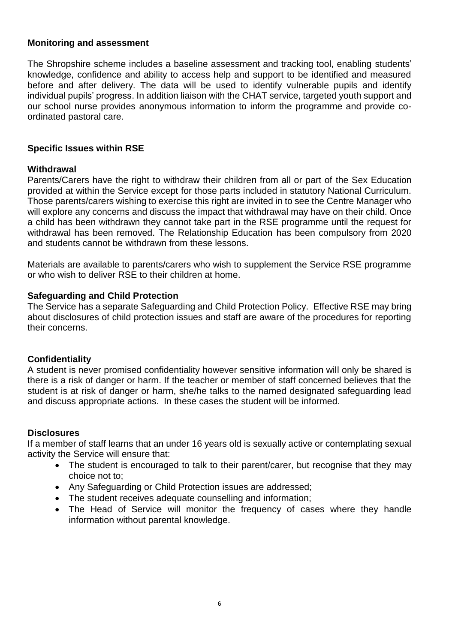#### **Monitoring and assessment**

The Shropshire scheme includes a baseline assessment and tracking tool, enabling students' knowledge, confidence and ability to access help and support to be identified and measured before and after delivery. The data will be used to identify vulnerable pupils and identify individual pupils' progress. In addition liaison with the CHAT service, targeted youth support and our school nurse provides anonymous information to inform the programme and provide coordinated pastoral care.

#### **Specific Issues within RSE**

#### **Withdrawal**

Parents/Carers have the right to withdraw their children from all or part of the Sex Education provided at within the Service except for those parts included in statutory National Curriculum. Those parents/carers wishing to exercise this right are invited in to see the Centre Manager who will explore any concerns and discuss the impact that withdrawal may have on their child. Once a child has been withdrawn they cannot take part in the RSE programme until the request for withdrawal has been removed. The Relationship Education has been compulsory from 2020 and students cannot be withdrawn from these lessons.

Materials are available to parents/carers who wish to supplement the Service RSE programme or who wish to deliver RSE to their children at home.

#### **Safeguarding and Child Protection**

The Service has a separate Safeguarding and Child Protection Policy. Effective RSE may bring about disclosures of child protection issues and staff are aware of the procedures for reporting their concerns.

#### **Confidentiality**

A student is never promised confidentiality however sensitive information will only be shared is there is a risk of danger or harm. If the teacher or member of staff concerned believes that the student is at risk of danger or harm, she/he talks to the named designated safeguarding lead and discuss appropriate actions. In these cases the student will be informed.

#### **Disclosures**

If a member of staff learns that an under 16 years old is sexually active or contemplating sexual activity the Service will ensure that:

- The student is encouraged to talk to their parent/carer, but recognise that they may choice not to;
- Any Safeguarding or Child Protection issues are addressed;
- The student receives adequate counselling and information;
- The Head of Service will monitor the frequency of cases where they handle information without parental knowledge.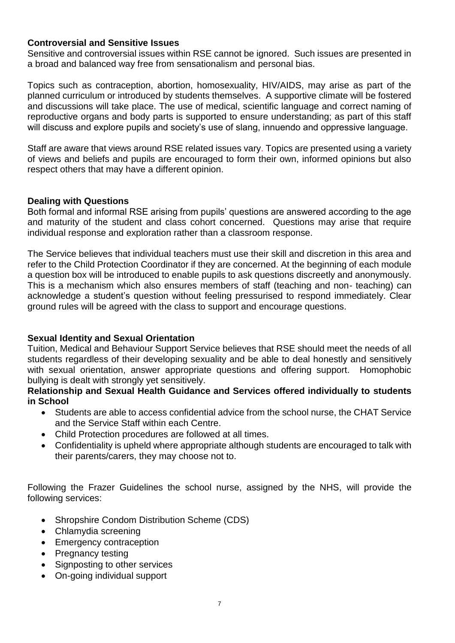#### **Controversial and Sensitive Issues**

Sensitive and controversial issues within RSE cannot be ignored. Such issues are presented in a broad and balanced way free from sensationalism and personal bias.

Topics such as contraception, abortion, homosexuality, HIV/AIDS, may arise as part of the planned curriculum or introduced by students themselves. A supportive climate will be fostered and discussions will take place. The use of medical, scientific language and correct naming of reproductive organs and body parts is supported to ensure understanding; as part of this staff will discuss and explore pupils and society's use of slang, innuendo and oppressive language.

Staff are aware that views around RSE related issues vary. Topics are presented using a variety of views and beliefs and pupils are encouraged to form their own, informed opinions but also respect others that may have a different opinion.

#### **Dealing with Questions**

Both formal and informal RSE arising from pupils' questions are answered according to the age and maturity of the student and class cohort concerned. Questions may arise that require individual response and exploration rather than a classroom response.

The Service believes that individual teachers must use their skill and discretion in this area and refer to the Child Protection Coordinator if they are concerned. At the beginning of each module a question box will be introduced to enable pupils to ask questions discreetly and anonymously. This is a mechanism which also ensures members of staff (teaching and non- teaching) can acknowledge a student's question without feeling pressurised to respond immediately. Clear ground rules will be agreed with the class to support and encourage questions.

# **Sexual Identity and Sexual Orientation**

Tuition, Medical and Behaviour Support Service believes that RSE should meet the needs of all students regardless of their developing sexuality and be able to deal honestly and sensitively with sexual orientation, answer appropriate questions and offering support. Homophobic bullying is dealt with strongly yet sensitively.

#### **Relationship and Sexual Health Guidance and Services offered individually to students in School**

- Students are able to access confidential advice from the school nurse, the CHAT Service and the Service Staff within each Centre.
- Child Protection procedures are followed at all times.
- Confidentiality is upheld where appropriate although students are encouraged to talk with their parents/carers, they may choose not to.

Following the Frazer Guidelines the school nurse, assigned by the NHS, will provide the following services:

- Shropshire Condom Distribution Scheme (CDS)
- Chlamydia screening
- Emergency contraception
- Pregnancy testing
- Signposting to other services
- On-going individual support